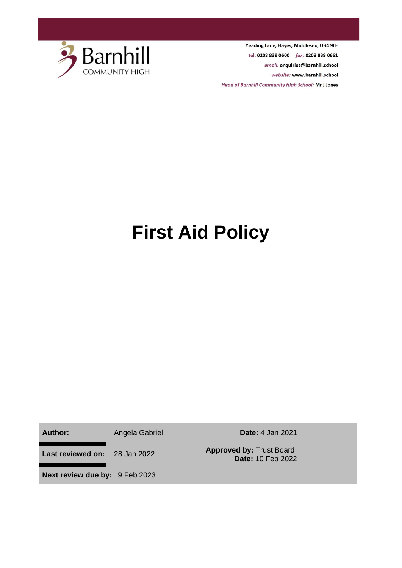

Yeading Lane, Hayes, Middlesex, UB4 9LE tel: 0208 839 0600 fax: 0208 839 0661 email: enquiries@barnhill.school website: www.barnhill.school **Head of Barnhill Community High School: Mr J Jones** 

# **First Aid Policy**

**Author:** Angela Gabriel **Date:** 4 Jan 2021

**Last reviewed on:** 28 Jan 2022 **Approved by:** Trust Board

**Date:** 10 Feb 2022

**Next review due by:** 9 Feb 2023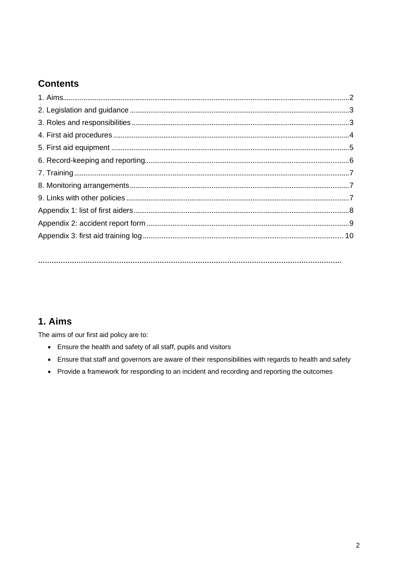## **Contents**

### <span id="page-1-0"></span>1. Aims

The aims of our first aid policy are to:

- Ensure the health and safety of all staff, pupils and visitors
- Ensure that staff and governors are aware of their responsibilities with regards to health and safety
- Provide a framework for responding to an incident and recording and reporting the outcomes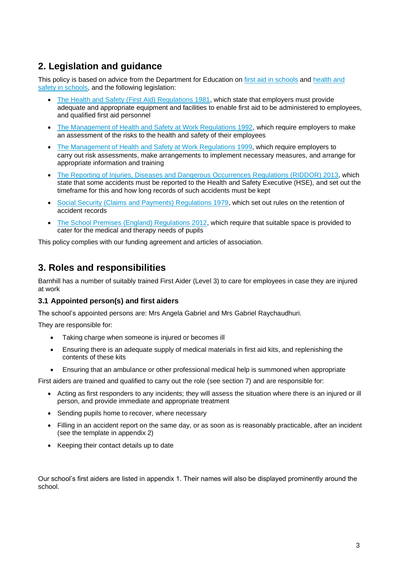## <span id="page-2-0"></span>**2. Legislation and guidance**

This policy is based on advice from the Department for Education on first aid in schools and health and safety in schools, and the following legislation:

- The Health and Safety (First Aid) Regulations 1981, which state that employers must provide adequate and appropriate equipment and facilities to enable first aid to be administered to employees, and qualified first aid personnel
- The Management of Health and Safety at Work Regulations 1992, which require employers to make an assessment of the risks to the health and safety of their employees
- The Management of Health and Safety at Work Regulations 1999, which require employers to carry out risk assessments, make arrangements to implement necessary measures, and arrange for appropriate information and training
- The Reporting of Injuries, Diseases and Dangerous Occurrences Regulations (RIDDOR) 2013, which state that some accidents must be reported to the Health and Safety Executive (HSE), and set out the timeframe for this and how long records of such accidents must be kept
- Social Security (Claims and Payments) Regulations 1979, which set out rules on the retention of accident records
- The School Premises (England) Regulations 2012, which require that suitable space is provided to cater for the medical and therapy needs of pupils

This policy complies with our funding agreement and articles of association.

## <span id="page-2-1"></span>**3. Roles and responsibilities**

Barnhill has a number of suitably trained First Aider (Level 3) to care for employees in case they are injured at work

#### **3.1 Appointed person(s) and first aiders**

The school's appointed persons are: Mrs Angela Gabriel and Mrs Gabriel Raychaudhuri.

They are responsible for:

- Taking charge when someone is injured or becomes ill
- Ensuring there is an adequate supply of medical materials in first aid kits, and replenishing the contents of these kits
- Ensuring that an ambulance or other professional medical help is summoned when appropriate

First aiders are trained and qualified to carry out the role (see section 7) and are responsible for:

- Acting as first responders to any incidents; they will assess the situation where there is an injured or ill person, and provide immediate and appropriate treatment
- Sending pupils home to recover, where necessary
- Filling in an accident report on the same day, or as soon as is reasonably practicable, after an incident (see the template in appendix 2)
- Keeping their contact details up to date

Our school's first aiders are listed in appendix 1. Their names will also be displayed prominently around the school.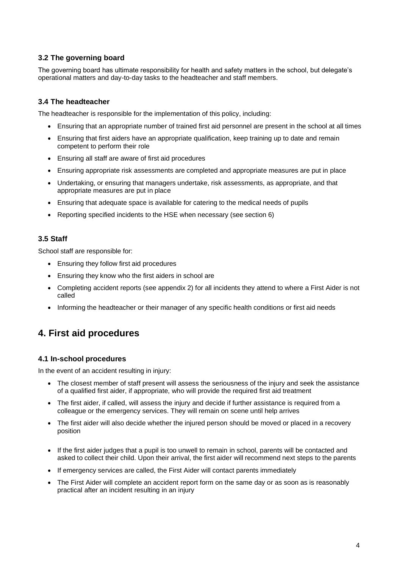#### **3.2 The governing board**

The governing board has ultimate responsibility for health and safety matters in the school, but delegate's operational matters and day-to-day tasks to the headteacher and staff members.

#### **3.4 The headteacher**

The headteacher is responsible for the implementation of this policy, including:

- Ensuring that an appropriate number of trained first aid personnel are present in the school at all times
- Ensuring that first aiders have an appropriate qualification, keep training up to date and remain competent to perform their role
- Ensuring all staff are aware of first aid procedures
- Ensuring appropriate risk assessments are completed and appropriate measures are put in place
- Undertaking, or ensuring that managers undertake, risk assessments, as appropriate, and that appropriate measures are put in place
- Ensuring that adequate space is available for catering to the medical needs of pupils
- Reporting specified incidents to the HSE when necessary (see section 6)

#### **3.5 Staff**

School staff are responsible for:

- Ensuring they follow first aid procedures
- Ensuring they know who the first aiders in school are
- Completing accident reports (see appendix 2) for all incidents they attend to where a First Aider is not called
- Informing the headteacher or their manager of any specific health conditions or first aid needs

### <span id="page-3-0"></span>**4. First aid procedures**

#### **4.1 In-school procedures**

In the event of an accident resulting in injury:

- The closest member of staff present will assess the seriousness of the injury and seek the assistance of a qualified first aider, if appropriate, who will provide the required first aid treatment
- The first aider, if called, will assess the injury and decide if further assistance is required from a colleague or the emergency services. They will remain on scene until help arrives
- The first aider will also decide whether the injured person should be moved or placed in a recovery position
- If the first aider judges that a pupil is too unwell to remain in school, parents will be contacted and asked to collect their child. Upon their arrival, the first aider will recommend next steps to the parents
- If emergency services are called, the First Aider will contact parents immediately
- The First Aider will complete an accident report form on the same day or as soon as is reasonably practical after an incident resulting in an injury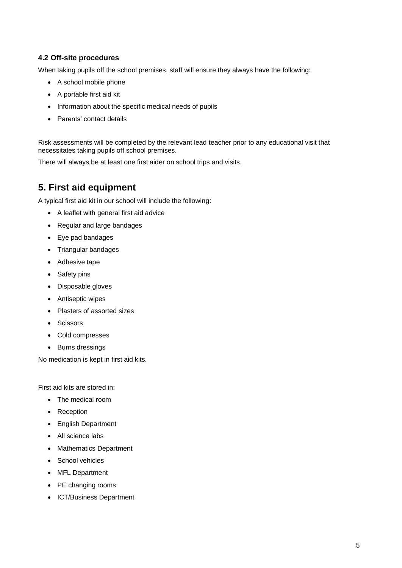#### **4.2 Off-site procedures**

When taking pupils off the school premises, staff will ensure they always have the following:

- A school mobile phone
- A portable first aid kit
- Information about the specific medical needs of pupils
- Parents' contact details

Risk assessments will be completed by the relevant lead teacher prior to any educational visit that necessitates taking pupils off school premises.

There will always be at least one first aider on school trips and visits.

## <span id="page-4-0"></span>**5. First aid equipment**

A typical first aid kit in our school will include the following:

- A leaflet with general first aid advice
- Regular and large bandages
- Eye pad bandages
- Triangular bandages
- Adhesive tape
- Safety pins
- Disposable gloves
- Antiseptic wipes
- Plasters of assorted sizes
- Scissors
- Cold compresses
- Burns dressings

No medication is kept in first aid kits.

First aid kits are stored in:

- The medical room
- Reception
- English Department
- All science labs
- Mathematics Department
- School vehicles
- MFL Department
- PE changing rooms
- ICT/Business Department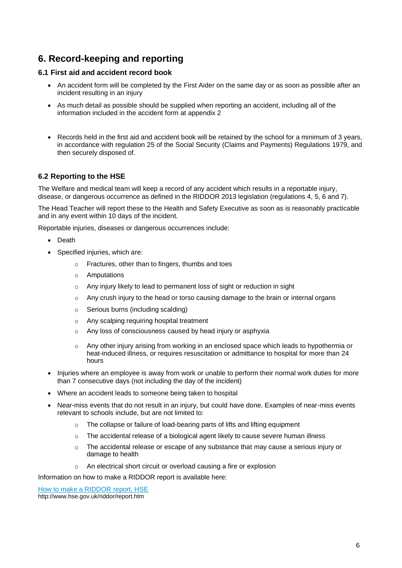## <span id="page-5-0"></span>**6. Record-keeping and reporting**

#### **6.1 First aid and accident record book**

- An accident form will be completed by the First Aider on the same day or as soon as possible after an incident resulting in an injury
- As much detail as possible should be supplied when reporting an accident, including all of the information included in the accident form at appendix 2
- Records held in the first aid and accident book will be retained by the school for a minimum of 3 years, in accordance with regulation 25 of the Social Security (Claims and Payments) Regulations 1979, and then securely disposed of.

#### **6.2 Reporting to the HSE**

The Welfare and medical team will keep a record of any accident which results in a reportable injury, disease, or dangerous occurrence as defined in the RIDDOR 2013 legislation (regulations 4, 5, 6 and 7).

The Head Teacher will report these to the Health and Safety Executive as soon as is reasonably practicable and in any event within 10 days of the incident.

Reportable injuries, diseases or dangerous occurrences include:

- **Death**
- Specified injuries, which are:
	- o Fractures, other than to fingers, thumbs and toes
	- o Amputations
	- o Any injury likely to lead to permanent loss of sight or reduction in sight
	- o Any crush injury to the head or torso causing damage to the brain or internal organs
	- o Serious burns (including scalding)
	- o Any scalping requiring hospital treatment
	- o Any loss of consciousness caused by head injury or asphyxia
	- o Any other injury arising from working in an enclosed space which leads to hypothermia or heat-induced illness, or requires resuscitation or admittance to hospital for more than 24 hours
- Injuries where an employee is away from work or unable to perform their normal work duties for more than 7 consecutive days (not including the day of the incident)
- Where an accident leads to someone being taken to hospital
- Near-miss events that do not result in an injury, but could have done. Examples of near-miss events relevant to schools include, but are not limited to:
	- o The collapse or failure of load-bearing parts of lifts and lifting equipment
	- o The accidental release of a biological agent likely to cause severe human illness
	- $\circ$  The accidental release or escape of any substance that may cause a serious injury or damage to health
	- o An electrical short circuit or overload causing a fire or explosion

Information on how to make a RIDDOR report is available here:

How to make a RIDDOR report, HSE

<http://www.hse.gov.uk/riddor/report.htm>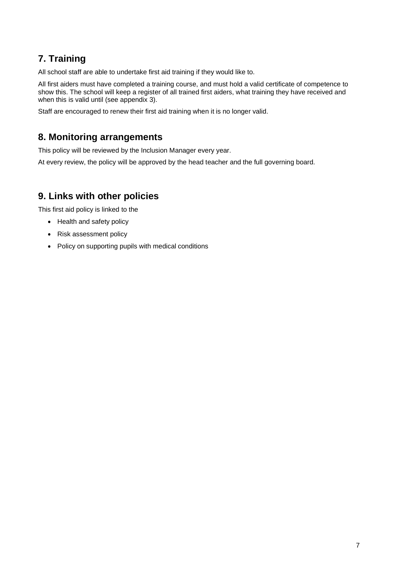## <span id="page-6-0"></span>**7. Training**

All school staff are able to undertake first aid training if they would like to.

All first aiders must have completed a training course, and must hold a valid certificate of competence to show this. The school will keep a register of all trained first aiders, what training they have received and when this is valid until (see appendix 3).

Staff are encouraged to renew their first aid training when it is no longer valid.

## <span id="page-6-1"></span>**8. Monitoring arrangements**

This policy will be reviewed by the Inclusion Manager every year.

At every review, the policy will be approved by the head teacher and the full governing board.

### <span id="page-6-2"></span>**9. Links with other policies**

This first aid policy is linked to the

- Health and safety policy
- Risk assessment policy
- <span id="page-6-3"></span>• Policy on supporting pupils with medical conditions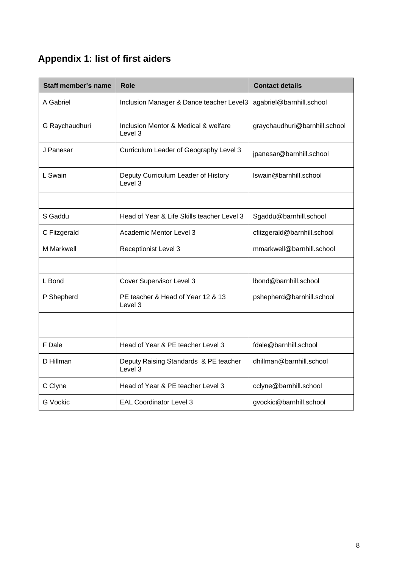# **Appendix 1: list of first aiders**

| <b>Staff member's name</b> | <b>Role</b>                                      | <b>Contact details</b>        |  |
|----------------------------|--------------------------------------------------|-------------------------------|--|
| A Gabriel                  | Inclusion Manager & Dance teacher Level3         | agabriel@barnhill.school      |  |
| G Raychaudhuri             | Inclusion Mentor & Medical & welfare<br>Level 3  | graychaudhuri@barnhill.school |  |
| J Panesar                  | Curriculum Leader of Geography Level 3           | jpanesar@barnhill.school      |  |
| L Swain                    | Deputy Curriculum Leader of History<br>Level 3   | Iswain@barnhill.school        |  |
|                            |                                                  |                               |  |
| S Gaddu                    | Head of Year & Life Skills teacher Level 3       | Sgaddu@barnhill.school        |  |
| C Fitzgerald               | Academic Mentor Level 3                          | cfitzgerald@barnhill.school   |  |
| <b>M</b> Markwell          | <b>Receptionist Level 3</b>                      | mmarkwell@barnhill.school     |  |
|                            |                                                  |                               |  |
| L Bond                     | Cover Supervisor Level 3                         | lbond@barnhill.school         |  |
| P Shepherd                 | PE teacher & Head of Year 12 & 13<br>Level 3     | pshepherd@barnhill.school     |  |
|                            |                                                  |                               |  |
| F Dale                     | Head of Year & PE teacher Level 3                | fdale@barnhill.school         |  |
| D Hillman                  | Deputy Raising Standards & PE teacher<br>Level 3 | dhillman@barnhill.school      |  |
| C Clyne                    | Head of Year & PE teacher Level 3                | cclyne@barnhill.school        |  |
| <b>G</b> Vockic            | <b>EAL Coordinator Level 3</b>                   | gvockic@barnhill.school       |  |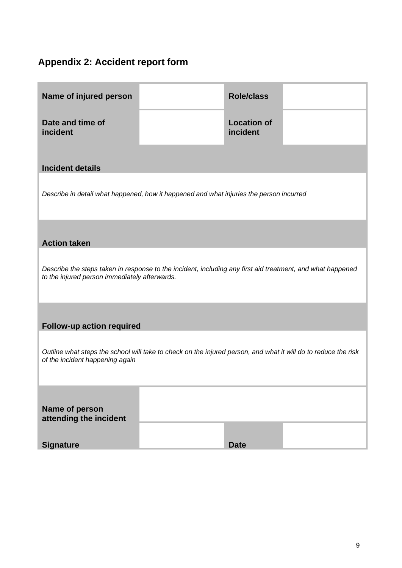# <span id="page-8-0"></span>**Appendix 2: Accident report form**

| <b>Role/class</b>                                                                                                                                           |  |  |  |  |  |
|-------------------------------------------------------------------------------------------------------------------------------------------------------------|--|--|--|--|--|
| <b>Location of</b><br>incident                                                                                                                              |  |  |  |  |  |
|                                                                                                                                                             |  |  |  |  |  |
| Describe in detail what happened, how it happened and what injuries the person incurred                                                                     |  |  |  |  |  |
| <b>Action taken</b>                                                                                                                                         |  |  |  |  |  |
| Describe the steps taken in response to the incident, including any first aid treatment, and what happened<br>to the injured person immediately afterwards. |  |  |  |  |  |
| Follow-up action required                                                                                                                                   |  |  |  |  |  |
| Outline what steps the school will take to check on the injured person, and what it will do to reduce the risk<br>of the incident happening again           |  |  |  |  |  |
| <b>Date</b>                                                                                                                                                 |  |  |  |  |  |
|                                                                                                                                                             |  |  |  |  |  |